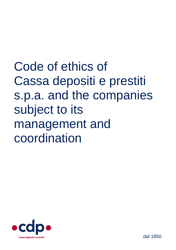Code of ethics of Cassa depositi e prestiti s.p.a. and the companies subject to its management and coordination

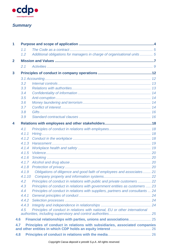

# *Summary*

| 1              |        |                                                                                 |  |  |  |
|----------------|--------|---------------------------------------------------------------------------------|--|--|--|
|                | 1.1    |                                                                                 |  |  |  |
|                | 1.2    | Additional obligations for managers in charge of organisational units 5         |  |  |  |
| $\overline{2}$ |        |                                                                                 |  |  |  |
|                | 2.1    |                                                                                 |  |  |  |
| 3              |        |                                                                                 |  |  |  |
|                |        |                                                                                 |  |  |  |
|                | 3.2    |                                                                                 |  |  |  |
|                | 3.3    |                                                                                 |  |  |  |
|                | 3.4    |                                                                                 |  |  |  |
|                | 3.5    |                                                                                 |  |  |  |
|                | 3.6    |                                                                                 |  |  |  |
|                | 3.7    |                                                                                 |  |  |  |
|                | 3.8    |                                                                                 |  |  |  |
|                | 3.9    |                                                                                 |  |  |  |
| 4              |        |                                                                                 |  |  |  |
|                | 4.1    |                                                                                 |  |  |  |
|                | 4.1.1  |                                                                                 |  |  |  |
|                | 4.1.2  |                                                                                 |  |  |  |
|                | 4.1.3  |                                                                                 |  |  |  |
|                | 4.1.4  |                                                                                 |  |  |  |
|                | 4.1.5  |                                                                                 |  |  |  |
|                | 4.1.6  |                                                                                 |  |  |  |
|                | 4.1.7  |                                                                                 |  |  |  |
|                | 4.1.8  |                                                                                 |  |  |  |
|                | 4.1.9  | Obligations of diligence and good faith of employees and associates 21          |  |  |  |
|                | 4.1.10 |                                                                                 |  |  |  |
|                | 4.2    | Principles of conduct in relations with public and private customers  22        |  |  |  |
|                | 4.3    | Principles of conduct in relations with government entities as customers  23    |  |  |  |
|                | 4.4    | Principles of conduct in relations with suppliers, partners and consultants  24 |  |  |  |
|                | 4.4.1  |                                                                                 |  |  |  |
|                | 4.4.2  |                                                                                 |  |  |  |
|                | 4.4.3  |                                                                                 |  |  |  |
|                | 4.5    | Principles of conduct in relations with national, EU or other international     |  |  |  |
|                | 4.6    | Financial relationships with parties, unions and associations 25                |  |  |  |
|                | 4.7    | Principles of conduct in relations with subsidiaries, associated companies      |  |  |  |
|                |        |                                                                                 |  |  |  |
|                | 4.8    |                                                                                 |  |  |  |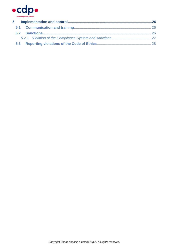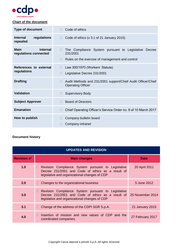

# **Chart of the document**

| <b>Type of document</b>                          | Code of ethics                                                                                                                |
|--------------------------------------------------|-------------------------------------------------------------------------------------------------------------------------------|
| <b>Internal</b><br>regulations<br>repealed       | Code of ethics (v 3.1 of 21 January 2015)<br>$\Box$                                                                           |
| <b>Main</b><br>internal<br>regulations connected | The Compliance System pursuant to Legislative Decree<br>П<br>231/2001<br>Rules on the exercise of management and control<br>П |
| References to external<br>regulations            | Law 300/1970 (Workers' Statute)<br>П.<br>Legislative Decree 231/2001                                                          |
| <b>Drafting</b>                                  | Audit Methods and 231/2001 support/Chief Audit Officer/Chief<br><b>Operating Officer</b>                                      |
| Validation                                       | <b>Supervisory Body</b><br>П                                                                                                  |
| <b>Subject Approver</b>                          | <b>Board of Directors</b>                                                                                                     |
| <b>Emanation</b>                                 | Chief Operating Officer's Service Order no. 9 of 10 March 2017<br>П                                                           |
| How to publish                                   | Company bulletin board<br>Company intranet                                                                                    |

# **Document history**

| <b>UPDATES AND REVISION</b> |                                                                                                                                                                    |                  |  |  |  |  |
|-----------------------------|--------------------------------------------------------------------------------------------------------------------------------------------------------------------|------------------|--|--|--|--|
| <b>Revision n°</b>          | <b>Main changes</b>                                                                                                                                                | <b>Date</b>      |  |  |  |  |
| 1.0                         | Revision Compliance System pursuant to Legislative<br>$\Box$<br>Decree 231/2001 and Code of ethics as a result of<br>legislative and organizational changes of CDP | 20 April 2011    |  |  |  |  |
| 2.0                         | Changes to the organizational business<br>$\Box$                                                                                                                   | 5 June 2012      |  |  |  |  |
| 3.0                         | Revision Compliance System pursuant to Legislative<br>H<br>Decree 231/2001 and Code of ethics as a result of<br>legislative and organizational changes of CDP      | 25 November 2014 |  |  |  |  |
| 3.1                         | Change of the address of the CDPI SGR S.p.A.<br>$\Box$                                                                                                             | 21 January 2015  |  |  |  |  |
| 4.0                         | Insertion of mission and new values of CDP and the<br>H<br>coordinated companies.                                                                                  | 27 February 2017 |  |  |  |  |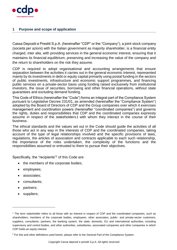

# <span id="page-4-0"></span>**1 Purpose and scope of application**

Cassa Depositi e Prestiti S.p.A. (hereinafter "CDP" or the "Company"), a joint-stock company (società per azioni) with the Italian government as majority shareholder, is a financial entity charged, inter alia, with providing services in the general economic interest, ensuring that it maintains its financial equilibrium, preserving and increasing the value of the company and the return to shareholders on the risk they assume.

CDP is required to adopt organisational and accounting arrangements that ensure separation between the activities it carries out in the general economic interest, represented mainly by its investments in debt or equity capital primarily using postal funding in the sectors of public investments, infrastructure and economic support programmes, and financing public services on a private-sector basis using funding raised exclusively from institutional investors, the issue of securities, borrowing and other financial operations, without state guarantees and excluding demand funding.

This Code of Ethics (hereinafter the "Code") forms an integral part of the Compliance System pursuant to Legislative Decree 231/01, as amended (hereinafter the "Compliance System") adopted by the Board of Directors of CDP and the Group companies over which it exercises management and coordination powers (hereinafter "coordinated companies") and governs the rights, duties and responsibilities that CDP and the coordinated companies expressly assume in respect of the stakeholders1 with whom they interact in the course of their business.

The ethical standards and the values set out in the Code should guide the activities of all those who act in any way in the interests of CDP and the coordinated companies, taking account of the type of legal relationships involved and the specific provisions of laws, regulations, the articles of association and contracts applicable to each such relationship, the importance of the roles undertaken, the complexity of the functions and the responsibilities assumed or entrusted to them to pursue their objectives.

Specifically, the "recipients"<sup>2</sup> of this Code are:

- the members of the corporate bodies;
- employees;
- associates;
- consultants;
- partners;
- suppliers;

-

<sup>&</sup>lt;sup>1</sup> The term stakeholder refers to all those with an interest in respect of CDP and the coordinated companies, such as shareholders, members of the corporate bodies, employees, other associates, public- and private-sector customers, suppliers, consultants, partners, the banking system, the state, domestic, EU and international authorities, including supervisory and control bodies, and other authorities, subsidiaries, associated companies and other companies in which CDP holds an equity interest.

<sup>&</sup>lt;sup>2</sup> For this and other definitions used herein, please refer to the General Part of the Compliance System.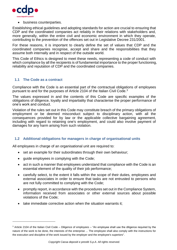

business counterparties.

Establishing ethical guidelines and adopting standards for action are crucial to ensuring that CDP and the coordinated companies act reliably in their relations with stakeholders and, more generally, within the entire civil and economic environment in which they operate, contributing to the prevention of the offences set out in Legislative Decree 231/2001.

For these reasons, it is important to clearly define the set of values that CDP and the coordinated companies recognise, accept and share and the responsibilities that they assume both internally and in respect of the outside world.

This Code of Ethics is designed to meet these needs, representing a code of conduct with which compliance by all the recipients is of fundamental importance to the proper functioning, reliability and reputation of CDP and the coordinated companies.

# <span id="page-5-0"></span>**1.1 The Code as a contract**

-

Compliance with the Code is an essential part of the contractual obligations of employees pursuant to and for the purposes of Article 2104 of the Italian Civil Code.<sup>3</sup>

The values expressed in and the contents of this Code are specific examples of the obligations of diligence, loyalty and impartiality that characterise the proper performance of one's work and conduct.

Violation of the rules set out in this Code may constitute breach of the primary obligations of employment or be deemed misconduct subject to disciplinary action, with all the consequences provided for by law or the applicable collective bargaining agreement, including with regard to retaining one's employment, and could also involve payment of damages for any harm arising from such violation.

# <span id="page-5-1"></span>**1.2 Additional obligations for managers in charge of organisational units**

All employees in charge of an organisational unit are required to:

- set an example for their subordinates through their own behaviour;
- guide employees in complying with the Code;
- act in such a manner that employees understand that compliance with the Code is an essential element of the quality of their job performance;
- carefully select, to the extent it falls within the scope of their duties, employees and external associates in order to ensure that tasks are not entrusted to persons who are not fully committed to complying with the Code;
- promptly report, in accordance with the procedures set out in the Compliance System, information received from associates or other external sources about possible violations of the Code;
- take immediate corrective action when the situation warrants it;

<sup>3</sup> Article 2104 of the Italian Civil Code – Diligence of employees – "An employee shall use the diligence required by the nature of the work to be done, the interests of the enterprise ... The employee shall also comply with the instructions for the execution and discipline of the work issued by the employer and the employee's superiors".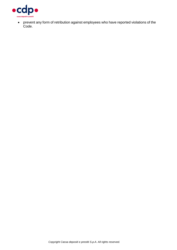

 prevent any form of retribution against employees who have reported violations of the Code.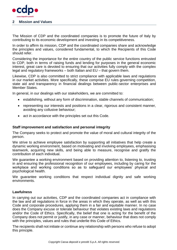

#### <span id="page-7-0"></span>**2 Mission and Values**

The Mission of CDP and the coordinated companies is to promote the future of Italy by contributing to its economic development and investing in its competitiveness.

In order to affirm its mission, CDP and the coordinated companies share and acknowledge the principles and values, considered fundamental, to which the Recipients of this Code should refer.

Considering the importance for the entire country of the public service functions entrusted to CDP, both in terms of raising funds and lending for purposes in the general economic interest, great care is devoted to ensuring that our activities fully comply with the complex legal and regulatory frameworks – both Italian and EU – that govern them.

Likewise, CDP is also committed to strict compliance with applicable laws and regulations in our market activities. More specifically, these comprise EU rules governing competition, state aid and transparency in financial dealings between public-sector enterprises and Member States.

In general, in our dealings with our stakeholders, we are committed to:

- establishing, without any form of discrimination, stable channels of communication;
- representing our interests and positions in a clear, rigorous and consistent manner, avoiding any collusive behaviour;
- act in accordance with the principles set out this Code.

#### **Staff improvement and satisfaction and personal integrity**

The Company seeks to protect and promote the value of moral and cultural integrity of the person.

We strive to achieve employee satisfaction by supporting all initiatives that help create a dynamic working environment, based on motivating and involving employees, emphasising teamwork, acquiring new skills, and being able to measure, recognise and gratify the contribution of each individual.

We guarantee a working environment based on providing attention to, listening to, trusting in and ensuring the professional recognition of our employees, including by caring for the workplace and working conditions so as to safeguard our employees' physical and psychological health.

We guarantee working conditions that respect individual dignity and safe working environments.

#### **Lawfulness**

In carrying out our activities, CDP and the coordinated companies act in compliance with the law and all regulations in force in the areas in which they operate, as well as with this Code and corporate procedures, applying them in a fair and equitable manner. In no case does the Company excuse or tolerate behaviour that violates existing laws and regulations and/or the Code of Ethics. Specifically, the belief that one is acting for the benefit of the Company does not permit or justify, in any case or manner, behaviour that does not comply with the principles, values and rules that underlie this Code of Ethics.

The recipients shall not initiate or continue any relationship with persons who refuse to adopt this principle.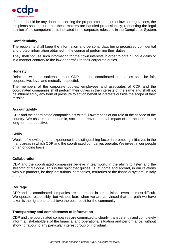

If there should be any doubt concerning the proper interpretation of laws or regulations, the recipients shall ensure that these matters are handled professionally, requesting the legal opinion of the competent units indicated in the corporate rules and in the Compliance System.

# **Confidentiality**

The recipients shall keep the information and personal data being processed confidential and protect information obtained in the course of performing their duties.

They shall not use such information for their own interests in order to obtain undue gains or in a manner contrary to the law or harmful to their corporate duties.

# **Honesty**

Relations with the stakeholders of CDP and the coordinated companies shall be fair, cooperative, loyal and mutually respectful.

The members of the corporate bodies, employees and associates of CDP and the coordinated companies shall perform their duties in the interests of the same and shall not be influenced by any form of pressure to act on behalf of interests outside the scope of their mission.

#### **Accountability**

CDP and the coordinated companies act with full awareness of our role at the service of the country. We assess the economic, social and environmental impact of our actions from a long-term perspective.

#### **Skills**

Wealth of knowledge and experience is a distinguishing factor in promoting initiatives in the many areas in which CDP and the coordinated companies operate. We invest in our people on an ongoing basis.

#### **Collaboration**

CDP and the coordinated companies believe in teamwork, in the ability to listen and the strength of dialogue. This is the spirit that guides us, at home and abroad, in our relations with our partners, be they institutions, companies, territories or the financial system, in Italy and abroad.

#### **Courage**

CDP and the coordinated companies are determined in our decisions, even the most difficult. We operate responsibly, but without fear, when we are convinced that the path we have taken is the right one to achieve the best result for the community.

#### **Transparency and completeness of information**

CDP and the coordinated companies are committed to clearly, transparently and completely inform all stakeholders of the financial and operational situation and performance, without showing favour to any particular interest group or individual.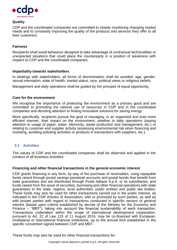

# **Quality**

CDP and the coordinated companies are committed to closely monitoring changing market needs and to constantly improving the quality of the products and services they offer to all their customers.

# **Fairness**

Recipients shall avoid behaviour designed to take advantage of contractual technicalities or unexpected situations that could place the counterparty in a position of weakness with respect to CDP and the coordinated companies.

#### **Impartiality towards stakeholders**

In dealings with stakeholders, all forms of discrimination shall be avoided: age, gender, sexual orientation, state of health, marital status, race, political views or religious beliefs.

Management and daily operations shall be guided by the principle of equal opportunity.

#### **Care for the environment**

We recognise the importance of protecting the environment as a primary good and are committed to promoting the rational use of resources in CDP and in the coordinated companies and devoting attention to finding innovative solutions for saving energy.

More specifically, recipients pursue the goal of managing, in an organized and ever-more efficient manner, their impact on the environment, whether in daily operations (paying attention to usage of paper, water, electricity, waste production and management, etc.) or relating to customer and supplier activity (assessing environmental risk when financing and investing, avoiding polluting activities or products in transactions with suppliers, etc.).

# <span id="page-9-0"></span>**2.1 Activities**

The values of CDP and the coordinated companies shall be observed and applied in the conduct of all business activities:

#### **Financing and other financial transactions in the general economic interest**

CDP grants financing in any form, by way of the purchase of receivables, using repayable funds raised through postal savings passbook accounts and postal bonds that benefit from state guarantees and are distributed through Poste Italiane S.p.A. or its subsidiaries, and funds raised from the issue of securities, borrowing and other financial operations with state guarantees to the state, regions, local authorities, public entities and public law bodies. These funds may also be used for other transactions carried out in the public interest, as indicated in the CDP Articles of Association, with or promoted by such parties, as well as with private parties with regard to transactions conducted in specific sectors of general interest (based upon criteria established by decree of the Ministry for the Economy and Finance – "MEF"), taking into account the financial sustainability of each transaction. Transactions undertaken within the scope of international development cooperation, pursuant to Art. 22 of Law 125 of 11 August 2014, may be co-financed with European, multilateral or international financial institutions, up to the annual limit established in the specific convention signed between CDP and MEF.

These funds may also be used for other financial transactions for: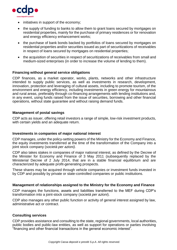

- initiatives in support of the economy;
- the supply of funding to banks to allow them to grant loans secured by mortgages on residential properties, mainly for the purchase of primary residences or for renovation and energy efficiency enhancement works;
- the purchase of bank bonds backed by portfolios of loans secured by mortgages on residential properties and/or securities issued as part of securitizations of receivables in respect of loans secured by mortgages on residential properties;
- the acquisition of securities in respect of securitizations of receivables from small and medium-sized enterprises (in order to increase the volume of lending to them).

#### **Financing without general service obligations**

CDP finances, as a market operator, works, plants, networks and other infrastructure intended to supply public services, as well as investments in research, development, innovation, protection and leveraging of cultural assets, including to promote tourism, of the environment and energy efficiency, including investments in green energy for mountainous and rural areas, preferably through co-financing arrangements with lending institutions and, in any event, using funds raised from the issue of securities, borrowing and other financial operations, without state guarantee and without raising demand funds.

#### **Management of postal savings**

CDP acts as issuer, offering retail investors a range of simple, low-risk investment products, with certain yields and an adequate return.

#### **Investments in companies of major national interest**

CDP manages, under the policy-setting powers of the Ministry for the Economy and Finance, the equity investments transferred at the time of the transformation of the Company into a joint stock company (*società per azioni).*

CDP also takes stakes in companies of major national interest, as defined by the Decree of the Minister for Economy and Finance of 3 May 2011 (subsequently replaced by the Ministerial Decree of 2 July 2014, that are in a stable financial equilibrium and are characterized by adequate profit-generating prospects.

These shares may be acquired through vehicle companies or investment funds invested in by CDP and possibly by private or state-controlled companies or public institutions.

#### **Management of relationships assigned to the Ministry for the Economy and Finance**

CDP manages the functions, assets and liabilities transferred to the MEF during CDP's transformation into a joint-stock company (*società per azioni*).

CDP also manages any other public function or activity of general interest assigned by law, administrative act or contract.

#### **Consulting services**

CDP provides assistance and consulting to the state, regional governments, local authorities, public bodies and public-law entities, as well as support for operations or parties involving "financing and other financial transactions in the general economic interest".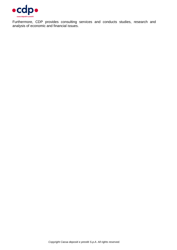

Furthermore, CDP provides consulting services and conducts studies, research and analysis of economic and financial issues.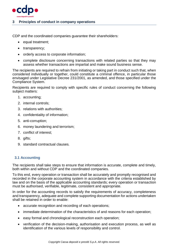

# <span id="page-12-0"></span>**3 Principles of conduct in company operations**

CDP and the coordinated companies guarantee their shareholders:

- $\bullet$  equal treatment:
- transparency;
- orderly access to corporate information;
- complete disclosure concerning transactions with related parties so that they may assess whether transactions are impartial and make sound business sense.

The recipients are required to refrain from initiating or taking part in conduct such that, when considered individually or together, could constitute a criminal offence, in particular those envisaged under Legislative Decree 231/2001, as amended, and those specified under the Compliance System.

Recipients are required to comply with specific rules of conduct concerning the following subject matters:

- 1. accounting;
- 2. internal controls;
- 3. relations with authorities;
- 4. confidentiality of information;
- 5. anti-corruption;
- 6. money laundering and terrorism;
- 7. conflict of interest;
- 8. gifts;
- 9. standard contractual clauses*.*

# <span id="page-12-1"></span>**3.1 Accounting**

The recipients shall take steps to ensure that information is accurate, complete and timely, both within and without CDP and the coordinated companies.

To this end, every operation or transaction shall be accurately and promptly recognised and recorded in the corporate accounting system in accordance with the criteria established by law and on the basis of the applicable accounting standards; every operation or transaction must be authorised, verifiable, legitimate, consistent and appropriate.

In order for the accounting records to satisfy the requirements of accuracy, completeness and transparency, adequate and complete supporting documentation for actions undertaken shall be retained in order to enable:

- accurate recognition and recording of each operations;
- immediate determination of the characteristics of and reasons for each operation;
- easy formal and chronological reconstruction each operation;
- verification of the decision-making, authorisation and execution process, as well as identification of the various levels of responsibility and control.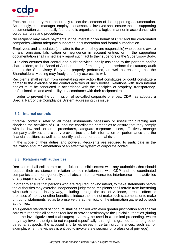

Each account entry must accurately reflect the contents of the supporting documentation. Accordingly, each manager, employee or associate involved shall ensure that the supporting documentation can be easily found and is organised in a logical manner in accordance with corporate rules and procedures.

No recipient may make payments in the interest or on behalf of CDP and the coordinated companies without adequate supporting documentation and formal authorisation.

Employees and associates (the latter to the extent they are responsible) who become aware of any omission, falsification or negligence in account entries or in the supporting documentation shall immediately report such fact to their superiors or the Supervisory Body.

CDP also ensures that control and audit activities legally assigned to the partners and/or shareholders, to the Board of Auditors, to the firms engaged to perform the statutory audit and to the Supervisory Body are properly performed, as well as ensuring that the Shareholders' Meeting may freely and fairly express its will.

Recipients shall refrain from undertaking any action that constitutes or could constitute a barrier to the exercise of the control activities of such bodies. Relations with such internal bodies must be conducted in accordance with the principles of propriety, transparency, professionalism and availability, in accordance with their reciprocal roles.

In order to prevent the commission of so-called corporate offences, CDP has adopted a Special Part of the Compliance System addressing this issue.

#### <span id="page-13-0"></span>**3.2 Internal controls**

"Internal controls" refer to all those instruments necessary or useful for directing and checking the activities of CDP and the coordinated companies to ensure that they comply with the law and corporate procedures, safeguard corporate assets, effectively manage company activities and clearly provide true and fair information on performance and the financial position, as well as to identify and counter potential risks.

In the scope of their duties and powers, Recipients are required to participate in the realization and implementation of an effective system of corporate control.

#### <span id="page-13-1"></span>**3.3 Relations with authorities**

Recipients shall collaborate to the fullest possible extent with any authorities that should request their assistance in relation to their relationship with CDP and the coordinated companies and, more generally, shall abstain from unwarranted interference in the activities of any inquiry and/or trial.

In order to ensure that persons who are required, or who intend, to make statements before the authorities may exercise independent judgement, recipients shall refrain from interfering with such persons in any way, including through the use of violence, threats, offers or promises of money or other benefits to induce them to not make such statements or to make untruthful statements, so as to preserve the authenticity of the information gathered by such authorities.

This general standard of conduct shall be applied with even greater justification and special care with regard to all persons required to provide testimony to the judicial authorities (during both the investigative and trial stages) that may be used in a criminal proceeding, where they may invoke the right to not respond (specifically, this right is granted to, among other persons, suspects, the accused and to witnesses in certain circumstances, such as, for example, when the witness is entitled to invoke state secrecy or professional privilege).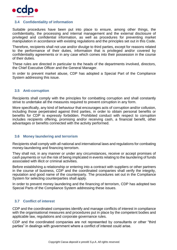

# <span id="page-14-0"></span>**3.4 Confidentiality of information**

Suitable procedures have been put into place to ensure, among other things, the confidentiality, the processing and internal management and the external disclosure of privileged and confidential information, as well as procedures for preventing market manipulation in accordance with existing regulations and the principles set out in this Code.

Therefore, recipients shall not use and/or divulge to third parties, except for reasons related to the performance of their duties, information that is privileged and/or covered by confidentiality agreements or in any case which comes into their possession in the course of their duties.

These rules are directed in particular to the heads of the departments involved, directors, the Chief Executive Officer and the General Manager.

In order to prevent market abuse, CDP has adopted a Special Part of the Compliance System addressing this issue.

#### <span id="page-14-1"></span>**3.5 Anti-corruption**

Recipients shall comply with the principles for combatting corruption and shall constantly strive to undertake all the measures required to prevent corruption in any form.

More specifically, any kind of behaviour that encourages acts of corruption and/or collusion, including those perpetrated against third parties, in order to obtain personal benefits or benefits for CDP is expressly forbidden. Prohibited conduct with respect to corruption includes recipients offering, promising and/or receiving cash, a financial benefit, other advantages or benefits connected with the activity performed.

#### <span id="page-14-2"></span>**3.6 Money laundering and terrorism**

Recipients shall comply with all national and international laws and regulations for combating money-laundering and financing terrorism.

They shall not, in any manner or under any circumstances, receive or accept promises of cash payments or run the risk of being implicated in events relating to the laundering of funds associated with illicit or criminal activities.

Before establishing a relationship or entering into a contract with suppliers or other partners in the course of business, CDP and the coordinated companies shall verify the integrity, reputation and good name of the counterparty. The procedures set out in the Compliance System for selecting counterparties shall apply.

In order to prevent money laundering and the financing of terrorism, CDP has adopted two Special Parts of the Compliance System addressing these issues.

# <span id="page-14-3"></span>**3.7 Conflict of interest**

CDP and the coordinated companies identify and manage conflicts of interest in compliance with the organisational measures and procedures put in place by the competent bodies and applicable law, regulations and corporate governance rules.

CDP and the coordinated companies are not represented by consultants or other "third parties" in dealings with government where a conflict of interest could arise.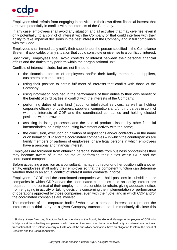

-

Employees shall refrain from engaging in activities in their own direct financial interest that are even potentially in conflict with the interests of the Company.

In any case, employees shall avoid any situation and all activities that may give rise, even if only potentially, to a conflict of interest with the Company or that could interfere with their ability to take impartial decisions in the best interest of the Company and in full compliance with the Code.

Employees shall immediately notify their superiors or the person specified in the Compliance System, if applicable, of any situation that could constitute or give rise to a conflict of interest.

Specifically, employees shall avoid conflicts of interest between their personal financial affairs and the duties they perform within their organisational unit.

Conflicts of interest include, but are not limited to:

- the financial interests of employees and/or their family members in suppliers, customers or competitors;
- using their position to obtain fulfilment of interests that conflict with those of the Company;
- using information obtained in the performance of their duties to their own benefit or the benefit of third parties in conflict with the interests of the Company;
- performing duties of any kind (labour or intellectual services, as well as holding corporate offices) for customers, suppliers, competitors and/or third parties in conflict with the interests of CDP and the coordinated companies and holding elected positions with borrowers;
- assisting in listing processes and the sale of products issued by other financial intermediaries, or jointly conducting investment activity with the same;
- the conclusion, execution or initiation of negotiations and/or contracts in the name or on behalf of CDP and the coordinated companies – in which the counterparties are family members or partners of employees, or are legal persons in which employees have a personal and financial interest.

Employees are forbidden from obtaining personal benefits from business opportunities they may become aware of in the course of performing their duties within CDP and the coordinated companies.

Before accepting a position as a consultant, manager, director or other position with another entity, employees shall notify their employer so that the competent function can determine whether there is an actual conflict of interest under contracts in force.

Employees of CDP and the coordinated companies who hold positions in subsidiaries or companies in which CDP and/or the coordinated companies hold an equity interest are required, in the context of their employment relationship, to refrain, giving adequate notice, from engaging in activity or taking decisions concerning the implementation or performance of operations approved by those companies, even with their vote, and in which CDP and/or the coordinated companies are involved.

The members of the corporate bodies<sup>4</sup> who have a personal interest, or represent the interests of a third party, in a given Company transaction shall immediately disclose this

<sup>4</sup> Similarly, those Directors, Statutory Auditors, members of the Board, the General Manager or employees of CDP who hold posts at the subsidiary companies or who have, on their own or on behalf of a third party, an interest in a particular transaction that CDP intends to carry out with one of the subsidiary companies, have an obligation to inform the Board of Directors and the Board of Auditors.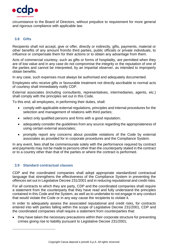

circumstance to the Board of Directors, without prejudice to requirement for more general and rigorous compliance with applicable law.

# <span id="page-16-0"></span>**3.8 Gifts**

Recipients shall not accept, give or offer, directly or indirectly, gifts, payments, material or other benefits of any amount from/to third parties, public officials or private individuals, to influence or compensate them for their actions or to obtain any advantage from them.

Acts of commercial courtesy, such as gifts or forms of hospitality, are permitted when they are of low value and in any case do not compromise the integrity or the reputation of one of the parties and cannot be interpreted, by an impartial observer, as intended to improperly obtain benefits.

In any case, such expenses must always be authorised and adequately documented.

Employees who receive gifts or favourable treatment not directly ascribable to normal acts of courtesy shall immediately notify CDP.

External associates (including consultants, representatives, intermediaries, agents, etc.) shall comply with the principles set out in this Code.

To this end, all employees, in performing their duties, shall:

- comply with applicable external regulations, principles and internal procedures for the selection and management of relations with third parties;
- select only qualified persons and firms with a good reputation;
- adequately consider the guidelines from any source regarding the appropriateness of using certain external associates;
- promptly report any concerns about possible violations of the Code by external associates as provided for in corporate procedures and the Compliance System.

In any event, fees shall be commensurate solely with the performance required by contract and payments may not be made to persons other than the counterparty stated in the contract or to a country other than that of the parties or where the contract is performed.

#### <span id="page-16-1"></span>**3.9 Standard contractual clauses**

-

CDP and the coordinated companies shall adopt appropriate standardized contractual language that strengthens the effectiveness of the Compliance System in preventing the offences set out in Legislative Decree 231/2001 and in reducing reputational and credit risks.

For all contracts to which they are party, CDP and the coordinated companies shall require a statement from the counterparty that they have read and fully understand the principles contained in this Code and the System, as well as to undertake to not engage in any conduct that would violate the Code or in any way cause the recipients to violate it.

In order to adequately assess the associated reputational and credit risks, for contracts entered into with parties falling within the scope of Legislative Decree 231/2001, CDP and the coordinated companies shall require a statement from counterparties that:

• they have taken the necessary precautions within their corporate structure for preventing crimes giving rise to liability pursuant to Legislative Decree 231/2001;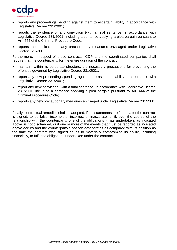

- reports any proceedings pending against them to ascertain liability in accordance with Legislative Decree 231/2001;
- reports the existence of any conviction (with a final sentence) in accordance with Legislative Decree 231/2001, including a sentence applying a plea bargain pursuant to Art. 444 of the Criminal Procedure Code;
- reports the application of any precautionary measures envisaged under Legislative Decree 231/2001.

Furthermore, in respect of these contracts, CDP and the coordinated companies shall require that the counterparty, for the entire duration of the contract:

- maintain, within its corporate structure, the necessary precautions for preventing the offenses governed by Legislative Decree 231/2001;
- report any new proceedings pending against it to ascertain liability in accordance with Legislative Decree 231/2001;
- report any new conviction (with a final sentence) in accordance with Legislative Decree 231/2001, including a sentence applying a plea bargain pursuant to Art. 444 of the Criminal Procedure Code;
- reports any new precautionary measures envisaged under Legislative Decree 231/2001.

Finally, contractual remedies shall be adopted, if the statements are found, after the contract is signed, to be false, incomplete, incorrect or inaccurate, or if, over the course of the relationship with the counterparty, one of the obligations it has undertaken, as indicated above, is not discharged, or if one or more of the events that must be reported as indicated above occurs and the counterparty's positon deteriorates as compared with its position as the time the contract was signed so as to materially compromise its ability, including financially, to fulfil the obligations undertaken under the contract.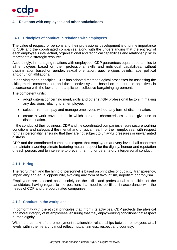

#### <span id="page-18-0"></span>**4 Relations with employees and other stakeholders**

#### <span id="page-18-1"></span>**4.1 Principles of conduct in relations with employees**

The value of respect for persons and their professional development is of prime importance to CDP and the coordinated companies, along with the understanding that the entirety of each employee's intellectual, organisational and technical capabilities and relationship skills represents a strategic resource.

Accordingly, in managing relations with employees, CDP guarantees equal opportunities to all employees based on their professional skills and individual capabilities, without discrimination based on gender, sexual orientation, age, religious beliefs, race, political and/or union affiliations.

In applying these principles, CDP has adopted methodological processes for assessing the skills, merit, compensation and the incentive system based on measurable objectives in accordance with the law and the applicable collective bargaining agreement.

The competent units:

- adopt criteria concerning merit, skills and other strictly professional factors in making any decisions relating to an employee;
- select, hire, train, pay and manage employees without any form of discrimination;
- create a work environment in which personal characteristics cannot give rise to discrimination.

In the conduct of their business, CDP and the coordinated companies ensure secure working conditions and safeguard the mental and physical health of their employees, with respect for their personality, ensuring that they are not subject to unlawful pressures or unwarranted distress.

CDP and the coordinated companies expect that employees at every level shall cooperate to maintain a working climate featuring mutual respect for the dignity, honour and reputation of each person, and to intervene to prevent harmful or defamatory interpersonal conduct.

#### <span id="page-18-2"></span>**4.1.1 Hiring**

The recruitment and the hiring of personnel is based on principles of publicity, transparency, impartiality and equal opportunity, avoiding any form of favouritism, nepotism or cronyism.

Employees are selected based solely on the skills and professional capabilities of the candidates, having regard to the positions that need to be filled, in accordance with the needs of CDP and the coordinated companies.

#### <span id="page-18-3"></span>**4.1.2 Conduct in the workplace**

In conformity with the ethical principles that inform its activities, CDP protects the physical and moral integrity of its employees, ensuring that they enjoy working conditions that respect human dignity.

Within the context of the employment relationship, relationships between employees at all levels within the hierarchy must reflect mutual fairness, respect and courtesy.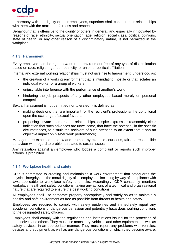

In harmony with the dignity of their employees, superiors shall conduct their relationships with them with the maximum fairness and respect.

Behaviour that is offensive to the dignity of others in general, and especially if motivated by reasons of race, ethnicity, sexual orientation, age, religion, social class, political opinions, state of health, or any other reason of a discriminatory nature, is not permitted in the workplace.

# <span id="page-19-0"></span>**4.1.3 Harassment**

Every employee has the right to work in an environment free of any type of discrimination based on race, religion, gender, ethnicity, or union or political affiliation.

Internal and external working relationships must not give rise to harassment, understood as:

- the creation of a working environment that is intimidating, hostile or that isolates an individual worker or a group of workers;
- unjustifiable interference with the performance of another's work;
- hindering the job prospects of any other employees based merely on personal competition.

Sexual harassment is not permitted nor tolerated. It is defined as:

- making decisions that are important for the recipient's professional life conditional upon the exchange of sexual favours;
- proposing private interpersonal relationships, despite express or reasonably clear indication that such advances are unwelcome, that have the potential, in the specific circumstances, to disturb the recipient of such attention to an extent that it has an objective impact on his/her work performance;

Managers are expected to show and promote by example courteous, fair and responsible behaviour with regard to problems related to sexual issues.

Any retaliation against an employee who lodges a complaint or reports such improper actions is prohibited.

#### <span id="page-19-1"></span>**4.1.4 Workplace health and safety**

CDP is committed to creating and maintaining a work environment that safeguards the physical integrity and the moral dignity of its employees, including by way of compliance with laws applicable to workplace safety and risks. Accordingly, CDP constantly monitors workplace health and safety conditions, taking any actions of a technical and organisational nature that are required to ensure the best working conditions.

All employees shall use corporate property appropriately and safely so as to maintain a healthy and safe environment as free as possible from threats to health and safety.

Employees are required to comply with safety guidelines and immediately report any accidents, conditions or dangerous behaviour and potentially hazardous working conditions to the designated safety officers.

Employees shall comply with the regulations and instructions issued for the protection of themselves and others. They must use machinery, vehicles and other equipment, as well as safety devices, in an appropriate manner. They must report any problems with vehicles, devices and equipment, as well as any dangerous conditions of which they become aware,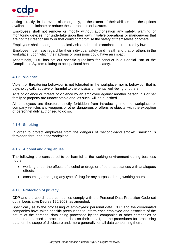

acting directly, in the event of emergency, to the extent of their abilities and the options available, to eliminate or reduce these problems or hazards.

Employees shall not remove or modify without authorisation any safety, warning or monitoring devices, nor undertake upon their own initiative operations or manoeuvres that are not their responsibility or that could compromise the safety of themselves or others.

Employees shall undergo the medical visits and health examinations required by law.

Employee must have regard for their individual safety and health and that of others in the workplace, upon which their actions or omissions could have an impact.

Accordingly, CDP has set out specific guidelines for conduct in a Special Part of the Compliance System relating to occupational health and safety.

#### <span id="page-20-0"></span>**4.1.5 Violence**

Violent or threatening behaviour is not tolerated in the workplace, nor is behaviour that is psychologically abusive or harmful to the physical or mental well-being of others.

Acts of violence or threats of violence by an employee against another person, his or her family or property are unacceptable and, as such, will be punished.

All employees are therefore strictly forbidden from introducing into the workplace or company vehicles any weapons or other dangerous or offensive objects, with the exception of personnel duly authorised to do so.

#### <span id="page-20-1"></span>**4.1.6 Smoking**

In order to protect employees from the dangers of "second-hand smoke", smoking is forbidden throughout the workplace.

#### <span id="page-20-2"></span>**4.1.7 Alcohol and drug abuse**

The following are considered to be harmful to the working environment during business hours:

- working under the effects of alcohol or drugs or of other substances with analogous effects;
- consuming or bringing any type of drug for any purpose during working hours.

# <span id="page-20-3"></span>**4.1.8 Protection of privacy**

CDP and the coordinated companies comply with the Personal Data Protection Code set out in Legislative Decree 196/2003, as amended.

Specifically as to the processing of employees' personal data, CDP and the coordinated companies have taken specific precautions to inform each employee and associate of the nature of the personal data being processed by the companies or other companies or persons authorised to process the data on their behalf, on the procedures for processing data, on the scope of disclosure and, more generally, on all data concerning them.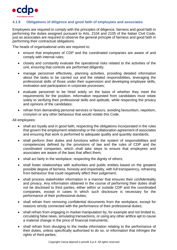

# <span id="page-21-0"></span>**4.1.9 Obligations of diligence and good faith of employees and associates**

Employees are required to comply with the principles of diligence, fairness and good faith in performing the duties assigned pursuant to Arts. 2104 and 2105 of the Italian Civil Code, just as associates are required to observe the general principle of fairness and good faith in performing their contractual obligations.

The heads of organisational units are required to:

- ensure that employees of CDP and the coordinated companies are aware of and comply with internal rules;
- closely and constantly evaluate the operational risks related to the activities of the unit, ensuring that controls are performed diligently;
- manage personnel effectively, planning activities, providing detailed information about the tasks to be carried out and the related responsibilities, leveraging the professional skills of those under their supervision and developing employee skills, motivation and participation in corporate processes;
- evaluate personnel to be hired solely on the basis of whether they meet the requirements for the position. Information requested from candidates must relate solely to verifying their professional skills and aptitude, while respecting the privacy and opinions of the candidates;
- refrain from demanding personal services or favours, avoiding favouritism, nepotism, cronyism or any other behaviour that would violate this Code.

All employees:

- shall act loyally and in good faith, respecting the obligations incorporated in the rules that govern the employment relationship or the collaboration agreement of associates and ensuring that work is performed to adequate quality and quantity standards;
- shall perform their duties and functions within the system of responsibilities and competencies defined by the provisions of law and the rules of CDP and the coordinated companies, which shall take steps to ensure that employees and associates are aware of the laws that affect them;
- shall act fairly in the workplace, respecting the dignity of others;
- shall foster relationships with authorities and public entities based on the greatest possible degree of fairness, honesty and impartiality, with full transparency, refraining from behaviour that could negatively affect their judgement;
- shall process stakeholder information in a manner that ensures their confidentiality and privacy. Any information obtained in the course of performing their duties shall not be disclosed to third parties, either within or outside CDP and the coordinated companies, except in cases in which such disclosure is necessary for the performance of their professional duties;
- shall refrain from removing confidential documents from the workplace, except for reasons strictly connected with the performance of their professional duties;
- shall refrain from engaging in market manipulation by, for example and not limited to, circulating false news, simulating transactions, or using any other artifice apt to cause a material change in the price of financial instruments;
- shall refrain from divulging to the media information relating to the performance of their duties, unless specifically authorised to do so, or information that infringes the rights of third parties;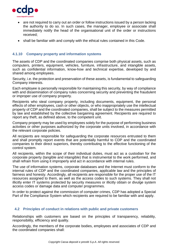

- are not required to carry out an order or follow instructions issued by a person lacking the authority to do so. In such cases, the manager, employee or associate shall immediately notify the head of the organisational unit of the order or instructions received;
- shall be familiar with and comply with the ethical rules contained in this Code.

# <span id="page-22-0"></span>**4.1.10 Company property and information systems**

The assets of CDP and the coordinated companies comprise both physical assets, such as computers, printers, equipment, vehicles, furniture, infrastructure, and intangible assets, such as confidential information, know-how and technical expertise, developed by and shared among employees.

Security, i.e. the protection and preservation of these assets, is fundamental to safeguarding Company interests.

Each employee is personally responsible for maintaining this security, by way of compliance with and dissemination of company rules concerning security and preventing the fraudulent or improper use of company property.

Recipients who steal company property, including documents, equipment, the personal effects of other employees, cash or other objects, or who inappropriately use the intellectual property of CDP and the coordinated companies, shall be subject to the measures permitted by law and established by the collective bargaining agreement. Recipients are required to report any theft, as defined above, to the competent unit.

Company property may be used by employees solely for the purpose of performing business activities or other purposes authorized by the corporate units involved, in accordance with the relevant corporate policies.

All recipients are responsible for safeguarding the corporate resources entrusted to them and shall promptly report events that are potentially harmful to CDP and the coordinated companies to their direct superiors, thereby contributing to the effective functioning of the control system.

All recipients, within the scope of their individual duties, must act as a custodian for the corporate property (tangible and intangible) that is instrumental to the work performed, and shall refrain from using it improperly and act in accordance with internal rules.

The use of information systems, corporate databases and the Internet must conform to the internal rules of CDP and the coordinated companies, applicable law and the principles of fairness and honesty. Accordingly, all recipients are responsible for the proper use of the IT resources assigned to them, as well as the access codes to such systems. They shall not illicitly enter IT systems protected by security measures or illicitly obtain or divulge system access codes or damage data and computer programmes.

In order to protect against the commission of computer crimes, CDP has adopted a Special Part of the Compliance System which recipients are required to be familiar with and apply.

#### <span id="page-22-1"></span>**4.2 Principles of conduct in relations with public and private customers**

Relationships with customers are based on the principles of transparency, reliability, responsibility, efficiency and quality.

Accordingly, the members of the corporate bodies, employees and associates of CDP and the coordinated companies shall: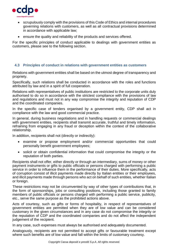

- scrupulously comply with the provisions of this Code of Ethics and internal procedures governing relations with customers, as well as all contractual provisions determined in accordance with applicable law;
- ensure the quality and reliability of the products and services offered.

For the specific principles of conduct applicable to dealings with government entities as customers, please see to the following section.

# <span id="page-23-0"></span>**4.3 Principles of conduct in relations with government entities as customers**

Relations with government entities shall be based on the utmost degree of transparency and propriety.

Specifically, such relations shall be conducted in accordance with the roles and functions attributed by law and in a spirit of full cooperation.

Relations with representatives of public institutions are restricted to the corporate units duly authorised to do so in accordance with the strictest compliance with the provisions of law and regulations and must not in any way compromise the integrity and reputation of CDP and the coordinated companies.

In the specific case of tenders organised by a government entity, CDP shall act in compliance with the law and good commercial practice.

In general, during business negotiations and in handling requests or commercial dealings with government entities, recipients shall transmit accurate, truthful and timely information, refraining from engaging in any fraud or deception within the context of the collaborative relationship.

In addition, recipients shall not (directly or indirectly):

- examine or propose employment and/or commercial opportunities that could personally benefit government employees;
- solicit or obtain confidential information that could compromise the integrity or the reputation of both parties.

Recipients shall not offer, either directly or through an intermediary, sums of money or other payment instruments or gifts to public officials or persons charged with performing a public service in order to influence them in the performance of their duties. More specifically, acts of corruption consist of illicit payments made directly by Italian entities or their employees, and illicit payments made through persons who act on behalf of such entities, whether Italian or foreign.

These restrictions may not be circumvented by way of other types of contributions that, in the form of sponsorships, jobs or consulting positions, including those granted to family members of public officials or persons charged with performing a public service, publicity, etc., serve the same purpose as the prohibited actions above.

Acts of courtesy, such as gifts or forms of hospitality, in respect of representatives of government entities are permitted when they are of low value and can be considered customary in the given circumstances and in any case do not compromise the integrity or the reputation of CDP and the coordinated companies and do not affect the independent judgement of the recipient.

In any case, such expenses must always be authorised and adequately documented.

Analogously, recipients are not permitted to accept gifts or favourable treatment except where such benefits are of low value and fall within the limits of customary courtesy.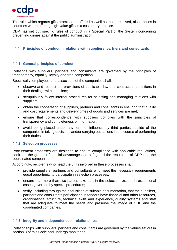

The rule, which regards gifts promised or offered as well as those received, also applies in countries where offering high-value gifts is a customary practice.

CDP has set out specific rules of conduct in a Special Part of the System concerning preventing crimes against the public administration.

## <span id="page-24-0"></span>**4.4 Principles of conduct in relations with suppliers, partners and consultants**

# <span id="page-24-1"></span>**4.4.1 General principles of conduct**

Relations with suppliers, partners and consultants are governed by the principles of transparency, equality, loyalty and free competition.

Specifically, employees and associates of the companies shall:

- observe and respect the provisions of applicable law and contractual conditions in their dealings with suppliers;
- scrupulously follow internal procedures for selecting and managing relations with suppliers;
- obtain the cooperation of suppliers, partners and consultants in ensuring that quality and cost requirements and delivery times of goods and services are met;
- ensure that correspondence with suppliers complies with the principles of transparency and completeness of information;
- avoid being placed under any form of influence by third parties outside of the companies in taking decisions and/or carrying out actions in the course of performing their duties.

#### <span id="page-24-2"></span>**4.4.2 Selection processes**

Procurement processes are designed to ensure compliance with applicable regulations, seek out the greatest financial advantage and safeguard the reputation of CDP and the coordinated companies.

Accordingly, recipients who head the units involved in these processes shall:

- provide suppliers, partners and consultants who meet the necessary requirements equal opportunity to participate in selection processes;
- ensure that more than two parties take part in the selection, except in exceptional cases governed by special procedures;
- verify, including through the acquisition of suitable documentation, that the suppliers, partners and consultants participating in tenders have financial and other resources, organisational structure, technical skills and experience, quality systems and staff that are adequate to meet the needs and preserve the image of CDP and the coordinated companies.

# <span id="page-24-3"></span>**4.4.3 Integrity and independence in relationships**

Relationships with suppliers, partners and consultants are governed by the values set out in section 3 of this Code and undergo monitoring.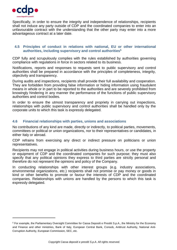

-

Specifically, in order to ensure the integrity and independence of relationships, recipients shall not induce any party outside of CDP and the coordinated companies to enter into an unfavourable contract with the understanding that the other party may enter into a more advantageous contract at a later date.

# <span id="page-25-0"></span>**4.5 Principles of conduct in relations with national, EU or other international authorities, including supervisory and control authorities<sup>5</sup>**

CDP fully and scrupulously complies with the rules established by authorities governing compliance with regulations in force in sectors related to its business.

Notifications, reports and responses to requests sent to public supervisory and control authorities shall be prepared in accordance with the principles of completeness, integrity, objectivity and transparency.

During audits and inspections, recipients shall provide their full availability and cooperation. They are forbidden from providing false information or hiding information using fraudulent means in whole or in part to be reported to the authorities and are severely prohibited from knowingly hindering in any manner the performance of the functions of public supervisory authorities and control bodies.

In order to ensure the utmost transparency and propriety in carrying out inspections, relationships with public supervisory and control authorities shall be handled only by the corporate units to which this task is expressly delegated.

# <span id="page-25-1"></span>**4.6 Financial relationships with parties, unions and associations**

No contributions of any kind are made, directly or indirectly, to political parties, movements, committees or political or union organizations, nor to their representatives or candidates, in either Italy or abroad.

CDP refrains from exercising any direct or indirect pressure on politicians or union representatives.

Recipients may not engage in political activities during business hours, or use the property or equipment of CDP and the coordinated companies for such purpose; they must also specify that any political opinions they express to third parties are strictly personal and therefore do not represent the opinions and policy of the Company.

In conducting relationships with other interest groups (e.g. industry associations, environmental organizations, etc.) recipients shall not promise or pay money or goods in kind or other benefits to promote or favour the interests of CDP and the coordinated companies. Relationships with unions are handled by the persons to which this task is expressly delegated.

<sup>5</sup> For example, the Parliamentary Oversight Committee for Cassa Depositi e Prestiti S.p.A., the Ministry for the Economy and Finance and other ministries, Bank of Italy, European Central Bank, Consob, Antitrust Authority, National Anti-Corruption Authority, European Commission, SEC, etc.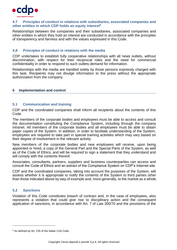

#### <span id="page-26-0"></span>**4.7 Principles of conduct in relations with subsidiaries, associated companies and other entities in which CDP holds an equity interest<sup>6</sup>**

Relationships between the companies and their subsidiaries, associated companies and other entities in which they hold an interest are conducted in accordance with the principles of transparency and fairness and with the values expressed in this Code.

# <span id="page-26-1"></span>**4.8 Principles of conduct in relations with the media**

CDP undertakes to establish fully cooperative relationships with all news outlets, without discrimination, with respect for their reciprocal roles and the need for commercial confidentiality in order to respond to such outlets demand for information.

Relationships with the media are handled solely by those persons expressly charged with this task. Recipients may not divulge information to the press without the appropriate authorization from the company.

# <span id="page-26-2"></span>**5 Implementation and control**

# <span id="page-26-3"></span>**5.1 Communication and training**

CDP and the coordinated companies shall inform all recipients about the contents of this Code.

The members of the corporate bodies and employees must be able to access and consult the documentation constituting the Compliance System, including through the company intranet. All members of the corporate bodies and all employees must be able to obtain paper copies of the System. In addition, in order to facilitate understanding of the System, employees are required to take part in special training activities which may vary based on their degree of involvement in the relevant activity.

New members of the corporate bodies and new employees will receive, upon being appointed or hired, a copy of the General Part and the Special Parts of the System, as well as of the Code of Ethics, and will be required to sign a statement that they understand and will comply with the contents thereof.

Associates, consultants, partners, suppliers and business counterparties can access and consult the Code of Ethics and an extract of the Compliance System on CDP's Internet site.

CDP and the coordinated companies, taking into account the purposes of the System, will assess whether it is appropriate to notify the contents of the System to third parties other than those indicated above by way of example and, more generally, to the market as a whole.

# <span id="page-26-4"></span>**5.2 Sanctions**

 $\overline{a}$ 

Violation of this Code constitutes breach of contract and, in the case of employees, also represents a violation that could give rise to disciplinary action and the consequent application of sanctions, in accordance with Art. 7 of Law 300/70 and the provisions of the

<sup>6</sup> As defined by Art. 235 of the Italian Civil Code.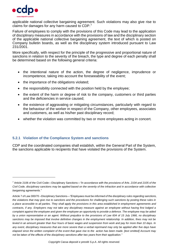

-

applicable national collective bargaining agreement. Such violations may also give rise to claims for damages for any harm caused to CDP.<sup>7</sup>

Failure of employees to comply with the provisions of this Code may lead to the application of disciplinary measures in accordance with the provisions of law and the disciplinary section of the applicable national collective bargaining agreement, the text of which is posted on Company bulletin boards, as well as the disciplinary system introduced pursuant to Law 231/2001.

More specifically, with respect for the principle of the progressive and proportional nature of sanctions in relation to the severity of the breach, the type and degree of each penalty shall be determined based on the following general criteria:

- the intentional nature of the action, the degree of negligence, imprudence or incompetence, taking into account the foreseeability of the event;
- the importance of the obligations violated;
- the responsibility connected with the position held by the employee;
- the extent of the harm or degree of risk to the company, customers or third parties and the deficiencies in service caused;
- the existence of aggravating or mitigating circumstances, particularly with regard to the behaviour of the worker in respect of the Company, other employees, associates and customers, as well as his/her past disciplinary record;
- whether the violation was committed by two or more employees acting in concert.

# <span id="page-27-0"></span>**5.2.1 Violation of the Compliance System and sanctions**

CDP and the coordinated companies shall establish, within the General Part of the System, the sanctions applicable to recipients that have violated the provisions of the System.

<sup>7</sup> Article 2106 of the Civil Code—Disciplinary Sanctions—*"In accordance with the provisions of Arts. 2104 and 2105 of the Civil Code, disciplinary sanctions may be applied based on the severity of the infraction and in accordance with collective bargaining agreements."*

Article 7 of Law 300/70 –Disciplinary Sanctions—*"Employees must be informed of the disciplinary rules regarding sanctions, the violations that may give rise to sanctions and the procedures for challenging such sanctions by posting these rules in a place accessible to all parties. They shall apply the provisions in this area established in employment agreements and contracts, if any. Employers may not take any disciplinary measure against an employee without having first lodged a complaint against the employee and given the employee an opportunity to provide a defence. The employee may be aided by a union representative or an agent. Without prejudice to the provisions of Law 604 of 15 July 1966, no disciplinary sanctions may be imposed that involve definitive changes in the employment relationship. In addition, fines may not be levied in an amount greater than four hours of basic wages and suspension from work and pay for more than 10 days. In any event, disciplinary measures that are more severe than a verbal reprimand may only be applied after five days have elapsed since the written complaint of the event that gave rise to the action has been made. [text omitted] Account may not be taken of the effects of the disciplinary sanctions after two years from their application."*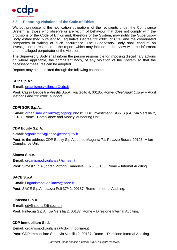

# <span id="page-28-0"></span>**5.3 Reporting violations of the Code of Ethics**

Without prejudice to the notification obligations of the recipients under the Compliance System, all those who observe or are victim of behaviour that does not comply with the provisions of the Code of Ethics and, therefore of the System, may notify the Supervisory Body established pursuant to Legislative Decree 231/2001 of CDP and the coordinated companies in writing of such occurrence. The Supervisory Body shall conduct an investigation in response to the report, which may include an interview with the informant and the alleged perpetrator of the violation.

The Supervisory Body shall inform the person responsible for imposing disciplinary actions or, where applicable, the competent body, of any violation of the System so that the necessary measures can be adopted.

Reports may be submitted through the following channels:

# **CDP S.p.A**.:

**E-mail**: [organismo.vigilanza@cdp.it](mailto:organismo.vigilanza@cdp.it)

**Post**: Cassa Depositi e Prestiti S.p.A., via Goito 4, 00185, Rome- *Chief Audit Officer* – Audit Methods and 231/2001 support.

# **CDPI SGR S.p.A.**:

**E-mail**: [organismo.vigilanza@cdpisgr.it](mailto:organismo.vigilanza@cdpisgr.it)**Post**: CDP Investimenti SGR S.p.A., via Versilia 2, 00187, Rome - Compliance and Money laundering Unit.

# **CDP Equity S.p.A.**

**e-mail**: [organismo.vigilanza@cdpequity.it](mailto:organismo.vigilanza@cdpequity.it)

**Post**: to the address CDP Equity S.p.A., corso Magenta 71, Palazzo Busca, 20123, Milan – Compliance Unit.

# **Simest S.p.A.**

**E-mail**: [organismodivigilanza@simest.it](mailto:organismodivigilanza@simest.it)

**Post**: Simest S.p.A., corso Vittorio Emanuele II 323, 00186, Rome – Internal Auditing.

# **SACE S.p.A.**

**E-mail**: [OrganismodiVigilanza@sace.it](mailto:OrganismodiVigilanza@sace.it) **Post**: SACE S.p.A., piazza Poli 37/42, 00187, Rome - Internal Auditing.

# **Fintecna S.p.A.**

**E-mail**: odvfintecna@fintecna.it **Post**: Fintecna S.p.A., via Versilia 2, 00187, Rome – Direzione Internal Auditing.

# **CDP Immobiliare S.r.l.**

**E-mail**: organismodivigilanza@cdpimmobiliare.it

**Post**: CDP Immobiliare S.r.l., via Versilia 2, 00187, Rome – Direzione Internal Auditing.